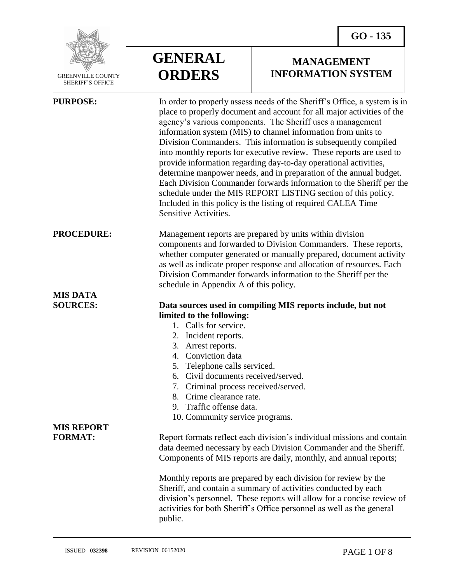

 GREENVILLE COUNTY SHERIFF'S OFFICE

 $\overline{a}$ 

| <b>GENERAL</b> |
|----------------|
| <b>ORDERS</b>  |

## **MANAGEMENT INFORMATION SYSTEM**

| <b>PURPOSE:</b>   | In order to properly assess needs of the Sheriff's Office, a system is in<br>place to properly document and account for all major activities of the<br>agency's various components. The Sheriff uses a management<br>information system (MIS) to channel information from units to<br>Division Commanders. This information is subsequently compiled<br>into monthly reports for executive review. These reports are used to<br>provide information regarding day-to-day operational activities,<br>determine manpower needs, and in preparation of the annual budget.<br>Each Division Commander forwards information to the Sheriff per the<br>schedule under the MIS REPORT LISTING section of this policy.<br>Included in this policy is the listing of required CALEA Time<br>Sensitive Activities. |
|-------------------|----------------------------------------------------------------------------------------------------------------------------------------------------------------------------------------------------------------------------------------------------------------------------------------------------------------------------------------------------------------------------------------------------------------------------------------------------------------------------------------------------------------------------------------------------------------------------------------------------------------------------------------------------------------------------------------------------------------------------------------------------------------------------------------------------------|
| <b>PROCEDURE:</b> | Management reports are prepared by units within division<br>components and forwarded to Division Commanders. These reports,<br>whether computer generated or manually prepared, document activity<br>as well as indicate proper response and allocation of resources. Each<br>Division Commander forwards information to the Sheriff per the<br>schedule in Appendix A of this policy.                                                                                                                                                                                                                                                                                                                                                                                                                   |
| <b>MIS DATA</b>   |                                                                                                                                                                                                                                                                                                                                                                                                                                                                                                                                                                                                                                                                                                                                                                                                          |
| <b>SOURCES:</b>   | Data sources used in compiling MIS reports include, but not                                                                                                                                                                                                                                                                                                                                                                                                                                                                                                                                                                                                                                                                                                                                              |
|                   | limited to the following:                                                                                                                                                                                                                                                                                                                                                                                                                                                                                                                                                                                                                                                                                                                                                                                |
|                   | 1. Calls for service.                                                                                                                                                                                                                                                                                                                                                                                                                                                                                                                                                                                                                                                                                                                                                                                    |
|                   | 2. Incident reports.                                                                                                                                                                                                                                                                                                                                                                                                                                                                                                                                                                                                                                                                                                                                                                                     |
|                   | 3. Arrest reports.                                                                                                                                                                                                                                                                                                                                                                                                                                                                                                                                                                                                                                                                                                                                                                                       |
|                   | 4. Conviction data                                                                                                                                                                                                                                                                                                                                                                                                                                                                                                                                                                                                                                                                                                                                                                                       |
|                   | 5. Telephone calls serviced.                                                                                                                                                                                                                                                                                                                                                                                                                                                                                                                                                                                                                                                                                                                                                                             |
|                   | 6. Civil documents received/served.                                                                                                                                                                                                                                                                                                                                                                                                                                                                                                                                                                                                                                                                                                                                                                      |
|                   | 7. Criminal process received/served.                                                                                                                                                                                                                                                                                                                                                                                                                                                                                                                                                                                                                                                                                                                                                                     |
|                   | 8. Crime clearance rate.                                                                                                                                                                                                                                                                                                                                                                                                                                                                                                                                                                                                                                                                                                                                                                                 |
|                   | 9. Traffic offense data.                                                                                                                                                                                                                                                                                                                                                                                                                                                                                                                                                                                                                                                                                                                                                                                 |
|                   | 10. Community service programs.                                                                                                                                                                                                                                                                                                                                                                                                                                                                                                                                                                                                                                                                                                                                                                          |
| <b>MIS REPORT</b> |                                                                                                                                                                                                                                                                                                                                                                                                                                                                                                                                                                                                                                                                                                                                                                                                          |
| <b>FORMAT:</b>    | Report formats reflect each division's individual missions and contain                                                                                                                                                                                                                                                                                                                                                                                                                                                                                                                                                                                                                                                                                                                                   |
|                   | data deemed necessary by each Division Commander and the Sheriff.                                                                                                                                                                                                                                                                                                                                                                                                                                                                                                                                                                                                                                                                                                                                        |
|                   | Components of MIS reports are daily, monthly, and annual reports;                                                                                                                                                                                                                                                                                                                                                                                                                                                                                                                                                                                                                                                                                                                                        |
|                   | Monthly reports are prepared by each division for review by the<br>Sheriff, and contain a summary of activities conducted by each<br>division's personnel. These reports will allow for a concise review of<br>activities for both Sheriff's Office personnel as well as the general<br>public.                                                                                                                                                                                                                                                                                                                                                                                                                                                                                                          |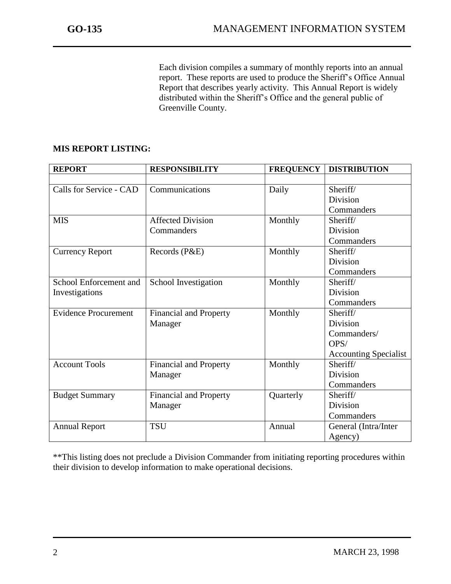j

Each division compiles a summary of monthly reports into an annual report. These reports are used to produce the Sheriff's Office Annual Report that describes yearly activity. This Annual Report is widely distributed within the Sheriff's Office and the general public of Greenville County.

## **MIS REPORT LISTING:**

| <b>REPORT</b>               | <b>RESPONSIBILITY</b>         | <b>FREQUENCY</b> | <b>DISTRIBUTION</b>          |
|-----------------------------|-------------------------------|------------------|------------------------------|
|                             |                               |                  |                              |
| Calls for Service - CAD     | Communications                | Daily            | Sheriff/                     |
|                             |                               |                  | Division                     |
|                             |                               |                  | Commanders                   |
| <b>MIS</b>                  | <b>Affected Division</b>      | Monthly          | Sheriff/                     |
|                             | Commanders                    |                  | <b>Division</b>              |
|                             |                               |                  | Commanders                   |
| <b>Currency Report</b>      | Records (P&E)                 | Monthly          | Sheriff/                     |
|                             |                               |                  | Division                     |
|                             |                               |                  | Commanders                   |
| School Enforcement and      | School Investigation          | Monthly          | Sheriff/                     |
| Investigations              |                               |                  | <b>Division</b>              |
|                             |                               |                  | Commanders                   |
| <b>Evidence Procurement</b> | <b>Financial and Property</b> | Monthly          | Sheriff/                     |
|                             | Manager                       |                  | Division                     |
|                             |                               |                  | Commanders/                  |
|                             |                               |                  | OPS/                         |
|                             |                               |                  | <b>Accounting Specialist</b> |
| <b>Account Tools</b>        | <b>Financial and Property</b> | Monthly          | Sheriff/                     |
|                             | Manager                       |                  | Division                     |
|                             |                               |                  | Commanders                   |
| <b>Budget Summary</b>       | <b>Financial and Property</b> | Quarterly        | Sheriff/                     |
|                             | Manager                       |                  | Division                     |
|                             |                               |                  | Commanders                   |
| <b>Annual Report</b>        | <b>TSU</b>                    | Annual           | General (Intra/Inter         |
|                             |                               |                  | Agency)                      |

\*\*This listing does not preclude a Division Commander from initiating reporting procedures within their division to develop information to make operational decisions.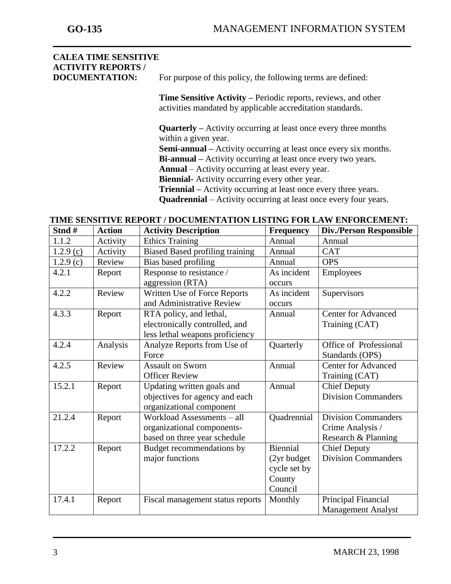j

# **CALEA TIME SENSITIVE ACTIVITY REPORTS /**

**DOCUMENTATION:** For purpose of this policy, the following terms are defined:

**Time Sensitive Activity –** Periodic reports, reviews, and other activities mandated by applicable accreditation standards.

**Quarterly –** Activity occurring at least once every three months within a given year.

**Semi-annual –** Activity occurring at least once every six months.

**Bi-annual –** Activity occurring at least once every two years.

**Annual** – Activity occurring at least every year.

**Biennial-** Activity occurring every other year.

**Triennial –** Activity occurring at least once every three years.

**Quadrennial** – Activity occurring at least once every four years.

| Stnd#       | <b>Action</b> | <b>Activity Description</b>            | <b>Frequency</b> | <b>Div./Person Responsible</b> |
|-------------|---------------|----------------------------------------|------------------|--------------------------------|
| 1.1.2       | Activity      | <b>Ethics Training</b>                 | Annual           | Annual                         |
| $1.2.9$ (c) | Activity      | <b>Biased Based profiling training</b> | Annual           | <b>CAT</b>                     |
| 1.2.9(c)    | Review        | Bias based profiling                   | Annual           | <b>OPS</b>                     |
| 4.2.1       | Report        | Response to resistance /               | As incident      | Employees                      |
|             |               | aggression (RTA)                       | occurs           |                                |
| 4.2.2       | Review        | Written Use of Force Reports           | As incident      | Supervisors                    |
|             |               | and Administrative Review              | occurs           |                                |
| 4.3.3       | Report        | RTA policy, and lethal,                | Annual           | <b>Center for Advanced</b>     |
|             |               | electronically controlled, and         |                  | Training (CAT)                 |
|             |               | less lethal weapons proficiency        |                  |                                |
| 4.2.4       | Analysis      | Analyze Reports from Use of            | Quarterly        | Office of Professional         |
|             |               | Force                                  |                  | Standards (OPS)                |
| 4.2.5       | Review        | <b>Assault on Sworn</b>                | Annual           | Center for Advanced            |
|             |               | <b>Officer Review</b>                  |                  | Training (CAT)                 |
| 15.2.1      | Report        | Updating written goals and             | Annual           | <b>Chief Deputy</b>            |
|             |               | objectives for agency and each         |                  | <b>Division Commanders</b>     |
|             |               | organizational component               |                  |                                |
| 21.2.4      | Report        | Workload Assessments - all             | Quadrennial      | <b>Division Commanders</b>     |
|             |               | organizational components-             |                  | Crime Analysis /               |
|             |               | based on three year schedule           |                  | Research & Planning            |
| 17.2.2      | Report        | Budget recommendations by              | Biennial         | <b>Chief Deputy</b>            |
|             |               | major functions                        | (2yr budget)     | <b>Division Commanders</b>     |
|             |               |                                        | cycle set by     |                                |
|             |               |                                        | County           |                                |
|             |               |                                        | Council          |                                |
| 17.4.1      | Report        | Fiscal management status reports       | Monthly          | Principal Financial            |
|             |               |                                        |                  | <b>Management Analyst</b>      |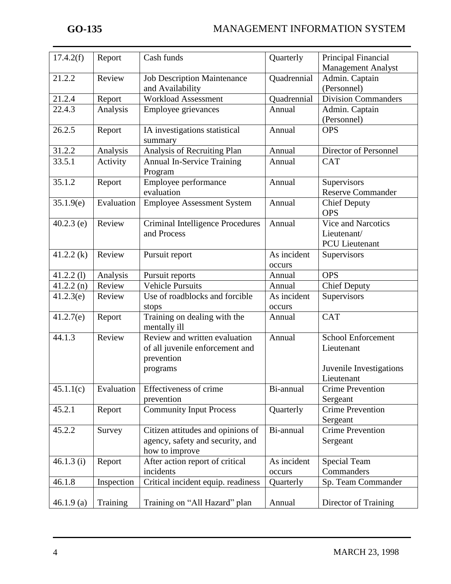| 17.4.2(f)    | Report     | Cash funds                            | Quarterly   | Principal Financial        |
|--------------|------------|---------------------------------------|-------------|----------------------------|
|              |            |                                       |             | Management Analyst         |
| 21.2.2       | Review     | <b>Job Description Maintenance</b>    | Quadrennial | Admin. Captain             |
|              |            | and Availability                      |             | (Personnel)                |
| 21.2.4       | Report     | <b>Workload Assessment</b>            | Quadrennial | <b>Division Commanders</b> |
| 22.4.3       | Analysis   | Employee grievances                   | Annual      | Admin. Captain             |
|              |            |                                       |             | (Personnel)                |
| 26.2.5       | Report     | IA investigations statistical         | Annual      | <b>OPS</b>                 |
|              |            | summary                               |             |                            |
| 31.2.2       | Analysis   | Analysis of Recruiting Plan           | Annual      | Director of Personnel      |
| 33.5.1       | Activity   | <b>Annual In-Service Training</b>     | Annual      | <b>CAT</b>                 |
|              |            | Program                               |             |                            |
| 35.1.2       | Report     | Employee performance                  | Annual      | Supervisors                |
|              |            | evaluation                            |             | <b>Reserve Commander</b>   |
| 35.1.9(e)    | Evaluation | <b>Employee Assessment System</b>     | Annual      | <b>Chief Deputy</b>        |
|              |            |                                       |             | <b>OPS</b>                 |
| $40.2.3$ (e) | Review     | Criminal Intelligence Procedures      | Annual      | Vice and Narcotics         |
|              |            | and Process                           |             | Lieutenant/                |
|              |            |                                       |             | <b>PCU</b> Lieutenant      |
| 41.2.2(k)    | Review     | Pursuit report                        | As incident | Supervisors                |
|              |            |                                       | occurs      |                            |
| $41.2.2$ (1) | Analysis   | Pursuit reports                       | Annual      | <b>OPS</b>                 |
| 41.2.2(n)    | Review     | <b>Vehicle Pursuits</b>               | Annual      | <b>Chief Deputy</b>        |
| 41.2.3(e)    | Review     | Use of roadblocks and forcible        | As incident | Supervisors                |
|              |            |                                       | occurs      |                            |
| 41.2.7(e)    |            | stops<br>Training on dealing with the | Annual      | <b>CAT</b>                 |
|              | Report     | mentally ill                          |             |                            |
| 44.1.3       | Review     | Review and written evaluation         | Annual      | <b>School Enforcement</b>  |
|              |            | of all juvenile enforcement and       |             | Lieutenant                 |
|              |            | prevention                            |             |                            |
|              |            |                                       |             | Juvenile Investigations    |
|              |            | programs                              |             | Lieutenant                 |
|              |            | Effectiveness of crime                |             |                            |
| 45.1.1(c)    | Evaluation |                                       | Bi-annual   | <b>Crime Prevention</b>    |
|              |            | prevention                            |             | Sergeant                   |
| 45.2.1       | Report     | <b>Community Input Process</b>        | Quarterly   | <b>Crime Prevention</b>    |
|              |            |                                       |             | Sergeant                   |
| 45.2.2       | Survey     | Citizen attitudes and opinions of     | Bi-annual   | <b>Crime Prevention</b>    |
|              |            | agency, safety and security, and      |             | Sergeant                   |
|              |            | how to improve                        |             |                            |
| 46.1.3(i)    | Report     | After action report of critical       | As incident | <b>Special Team</b>        |
|              |            | incidents                             | occurs      | Commanders                 |
| 46.1.8       | Inspection | Critical incident equip. readiness    | Quarterly   | Sp. Team Commander         |
|              |            |                                       |             |                            |
| 46.1.9(a)    | Training   | Training on "All Hazard" plan         | Annual      | Director of Training       |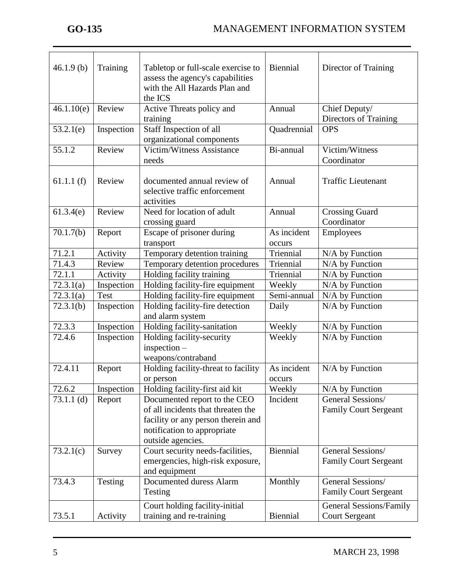j

| 46.1.9(b)    | Training    | Tabletop or full-scale exercise to<br>assess the agency's capabilities<br>with the All Hazards Plan and<br>the ICS                                           | Biennial                       | Director of Training                              |
|--------------|-------------|--------------------------------------------------------------------------------------------------------------------------------------------------------------|--------------------------------|---------------------------------------------------|
| 46.1.10(e)   | Review      | Active Threats policy and<br>training                                                                                                                        | Annual                         | Chief Deputy/<br>Directors of Training            |
| 53.2.1(e)    | Inspection  | Staff Inspection of all<br>organizational components                                                                                                         | Quadrennial                    | <b>OPS</b>                                        |
| 55.1.2       | Review      | Victim/Witness Assistance<br>needs                                                                                                                           | Bi-annual                      | Victim/Witness<br>Coordinator                     |
| 61.1.1(f)    | Review      | documented annual review of<br>selective traffic enforcement<br>activities                                                                                   | Annual                         | <b>Traffic Lieutenant</b>                         |
| 61.3.4(e)    | Review      | Need for location of adult<br>crossing guard                                                                                                                 | Annual                         | <b>Crossing Guard</b><br>Coordinator              |
| 70.1.7(b)    | Report      | Escape of prisoner during<br>transport                                                                                                                       | As incident<br><b>OCCULL</b> S | Employees                                         |
| 71.2.1       | Activity    | Temporary detention training                                                                                                                                 | Triennial                      | N/A by Function                                   |
| 71.4.3       | Review      | Temporary detention procedures                                                                                                                               | Triennial                      | N/A by Function                                   |
| 72.1.1       | Activity    | Holding facility training                                                                                                                                    | Triennial                      | N/A by Function                                   |
| 72.3.1(a)    | Inspection  | Holding facility-fire equipment                                                                                                                              | Weekly                         | N/A by Function                                   |
| 72.3.1(a)    | <b>Test</b> | Holding facility-fire equipment                                                                                                                              | Semi-annual                    | N/A by Function                                   |
| 72.3.1(b)    | Inspection  | Holding facility-fire detection<br>and alarm system                                                                                                          | Daily                          | N/A by Function                                   |
| 72.3.3       | Inspection  | Holding facility-sanitation                                                                                                                                  | Weekly                         | N/A by Function                                   |
| 72.4.6       | Inspection  | Holding facility-security<br>$inspection -$<br>weapons/contraband                                                                                            | Weekly                         | $N/A$ by Function                                 |
| 72.4.11      | Report      | Holding facility-threat to facility<br>or person                                                                                                             | As incident<br>occurs          | N/A by Function                                   |
| 72.6.2       | Inspection  | Holding facility-first aid kit                                                                                                                               | Weekly                         | $N/A$ by Function                                 |
| $73.1.1$ (d) | Report      | Documented report to the CEO<br>of all incidents that threaten the<br>facility or any person therein and<br>notification to appropriate<br>outside agencies. | Incident                       | General Sessions/<br><b>Family Court Sergeant</b> |
| 73.2.1(c)    | Survey      | Court security needs-facilities,<br>emergencies, high-risk exposure,<br>and equipment                                                                        | Biennial                       | General Sessions/<br><b>Family Court Sergeant</b> |
| 73.4.3       | Testing     | Documented duress Alarm<br>Testing                                                                                                                           | Monthly                        | General Sessions/<br><b>Family Court Sergeant</b> |
|              |             | Court holding facility-initial                                                                                                                               |                                | <b>General Sessions/Family</b>                    |
| 73.5.1       | Activity    | training and re-training                                                                                                                                     | Biennial                       | <b>Court Sergeant</b>                             |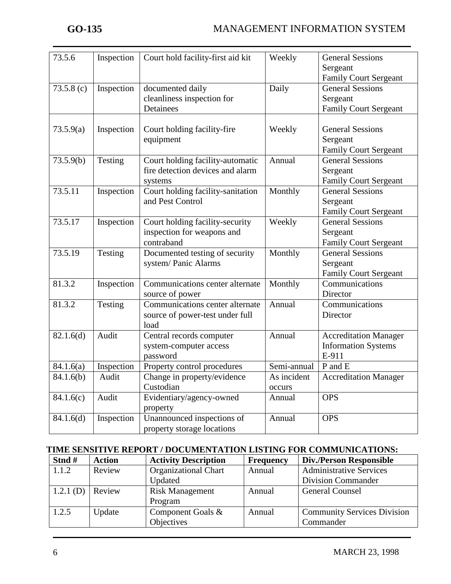| 73.5.6               | Inspection | Court hold facility-first aid kit | Weekly      | <b>General Sessions</b>      |
|----------------------|------------|-----------------------------------|-------------|------------------------------|
|                      |            |                                   |             | Sergeant                     |
|                      |            |                                   |             | Family Court Sergeant        |
| 73.5.8(c)            | Inspection | documented daily                  | Daily       | <b>General Sessions</b>      |
|                      |            | cleanliness inspection for        |             | Sergeant                     |
|                      |            | Detainees                         |             | Family Court Sergeant        |
|                      |            |                                   |             |                              |
| 73.5.9(a)            | Inspection | Court holding facility-fire       | Weekly      | <b>General Sessions</b>      |
|                      |            | equipment                         |             | Sergeant                     |
|                      |            |                                   |             | <b>Family Court Sergeant</b> |
| 73.5.9(b)            | Testing    | Court holding facility-automatic  | Annual      | <b>General Sessions</b>      |
|                      |            | fire detection devices and alarm  |             | Sergeant                     |
|                      |            | systems                           |             | Family Court Sergeant        |
| 73.5.11              | Inspection | Court holding facility-sanitation | Monthly     | <b>General Sessions</b>      |
|                      |            | and Pest Control                  |             | Sergeant                     |
|                      |            |                                   |             | <b>Family Court Sergeant</b> |
| 73.5.17              | Inspection | Court holding facility-security   | Weekly      | <b>General Sessions</b>      |
|                      |            | inspection for weapons and        |             | Sergeant                     |
|                      |            | contraband                        |             | Family Court Sergeant        |
| $73.5.\overline{19}$ | Testing    | Documented testing of security    | Monthly     | <b>General Sessions</b>      |
|                      |            | system/Panic Alarms               |             | Sergeant                     |
|                      |            |                                   |             | <b>Family Court Sergeant</b> |
| 81.3.2               | Inspection | Communications center alternate   | Monthly     | Communications               |
|                      |            | source of power                   |             | Director                     |
| 81.3.2               | Testing    | Communications center alternate   | Annual      | Communications               |
|                      |            | source of power-test under full   |             | Director                     |
|                      |            | load                              |             |                              |
| 82.1.6(d)            | Audit      | Central records computer          | Annual      | <b>Accreditation Manager</b> |
|                      |            | system-computer access            |             | <b>Information Systems</b>   |
|                      |            | password                          |             | E-911                        |
| 84.1.6(a)            | Inspection | Property control procedures       | Semi-annual | P and E                      |
| 84.1.6(b)            | Audit      | Change in property/evidence       | As incident | <b>Accreditation Manager</b> |
|                      |            | Custodian                         | occurs      |                              |
| 84.1.6(c)            | Audit      | Evidentiary/agency-owned          | Annual      | <b>OPS</b>                   |
|                      |            | property                          |             |                              |
| 84.1.6(d)            | Inspection | Unannounced inspections of        | Annual      | <b>OPS</b>                   |
|                      |            | property storage locations        |             |                              |

#### **TIME SENSITIVE REPORT / DOCUMENTATION LISTING FOR COMMUNICATIONS:**

| Stnd#     | <b>Action</b> | <b>Activity Description</b> | <b>Frequency</b> | <b>Div./Person Responsible</b>     |
|-----------|---------------|-----------------------------|------------------|------------------------------------|
| 1.1.2     | Review        | <b>Organizational Chart</b> | Annual           | <b>Administrative Services</b>     |
|           |               | Updated                     |                  | <b>Division Commander</b>          |
| 1.2.1 (D) | Review        | <b>Risk Management</b>      | Annual           | <b>General Counsel</b>             |
|           |               | Program                     |                  |                                    |
| 1.2.5     | Update        | Component Goals &           | Annual           | <b>Community Services Division</b> |
|           |               | Objectives                  |                  | Commander                          |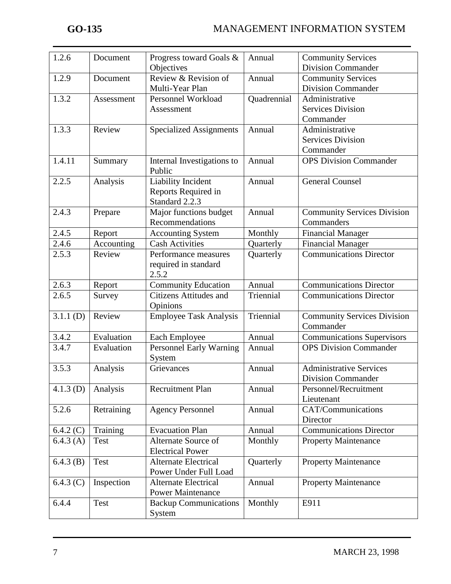| 1.2.6       | Document    | Progress toward Goals &        | Annual      | <b>Community Services</b>          |
|-------------|-------------|--------------------------------|-------------|------------------------------------|
|             |             | Objectives                     |             | <b>Division Commander</b>          |
| 1.2.9       | Document    | Review & Revision of           | Annual      | <b>Community Services</b>          |
|             |             | Multi-Year Plan                |             | <b>Division Commander</b>          |
| 1.3.2       | Assessment  | Personnel Workload             | Quadrennial | Administrative                     |
|             |             | Assessment                     |             | <b>Services Division</b>           |
|             |             |                                |             | Commander                          |
| 1.3.3       | Review      | <b>Specialized Assignments</b> | Annual      | Administrative                     |
|             |             |                                |             | <b>Services Division</b>           |
|             |             |                                |             | Commander                          |
| 1.4.11      | Summary     | Internal Investigations to     | Annual      | <b>OPS Division Commander</b>      |
|             |             | Public                         |             |                                    |
| 2.2.5       | Analysis    | Liability Incident             | Annual      | <b>General Counsel</b>             |
|             |             | Reports Required in            |             |                                    |
|             |             | Standard 2.2.3                 |             |                                    |
| 2.4.3       | Prepare     | Major functions budget         | Annual      | <b>Community Services Division</b> |
|             |             | Recommendations                |             | Commanders                         |
| 2.4.5       | Report      | <b>Accounting System</b>       | Monthly     | <b>Financial Manager</b>           |
| 2.4.6       | Accounting  | <b>Cash Activities</b>         | Quarterly   | <b>Financial Manager</b>           |
| 2.5.3       | Review      | Performance measures           | Quarterly   | <b>Communications Director</b>     |
|             |             | required in standard           |             |                                    |
|             |             | 2.5.2                          |             |                                    |
| 2.6.3       | Report      | <b>Community Education</b>     | Annual      | <b>Communications Director</b>     |
| 2.6.5       | Survey      | Citizens Attitudes and         | Triennial   | <b>Communications Director</b>     |
|             |             | Opinions                       |             |                                    |
| 3.1.1(D)    | Review      | <b>Employee Task Analysis</b>  | Triennial   | <b>Community Services Division</b> |
|             |             |                                |             | Commander                          |
| 3.4.2       | Evaluation  | Each Employee                  | Annual      | <b>Communications Supervisors</b>  |
| 3.4.7       | Evaluation  | Personnel Early Warning        | Annual      | <b>OPS</b> Division Commander      |
|             |             | System                         |             |                                    |
| 3.5.3       | Analysis    | Grievances                     | Annual      | <b>Administrative Services</b>     |
|             |             |                                |             | <b>Division Commander</b>          |
| $4.1.3$ (D) | Analysis    | Recruitment Plan               | Annual      | Personnel/Recruitment              |
|             |             |                                |             | Lieutenant                         |
| 5.2.6       | Retraining  | <b>Agency Personnel</b>        | Annual      | CAT/Communications                 |
|             |             |                                |             | Director                           |
| 6.4.2(C)    | Training    | <b>Evacuation Plan</b>         | Annual      | <b>Communications Director</b>     |
| 6.4.3(A)    | <b>Test</b> | Alternate Source of            | Monthly     | <b>Property Maintenance</b>        |
|             |             | <b>Electrical Power</b>        |             |                                    |
| 6.4.3(B)    | Test        | <b>Alternate Electrical</b>    | Quarterly   | <b>Property Maintenance</b>        |
|             |             | Power Under Full Load          |             |                                    |
| 6.4.3(C)    | Inspection  | <b>Alternate Electrical</b>    | Annual      | <b>Property Maintenance</b>        |
|             |             | <b>Power Maintenance</b>       |             |                                    |
| 6.4.4       | Test        | <b>Backup Communications</b>   | Monthly     | E911                               |
|             |             | System                         |             |                                    |